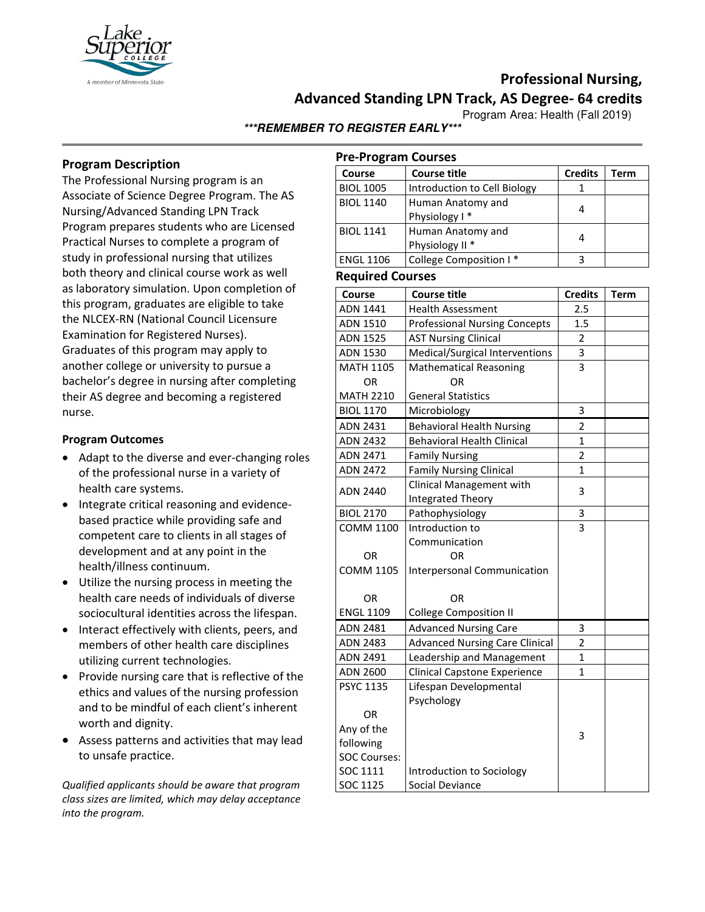

# **Professional Nursing,**

**Advanced Standing LPN Track, AS Degree- 64 credits**

Program Area: Health (Fall 2019)

**\*\*\*REMEMBER TO REGISTER EARLY\*\*\***

## **Program Description**

The Professional Nursing program is an Associate of Science Degree Program. The AS Nursing/Advanced Standing LPN Track Program prepares students who are Licensed Practical Nurses to complete a program of study in professional nursing that utilizes both theory and clinical course work as well as laboratory simulation. Upon completion of this program, graduates are eligible to take the NLCEX-RN (National Council Licensure Examination for Registered Nurses). Graduates of this program may apply to another college or university to pursue a bachelor's degree in nursing after completing their AS degree and becoming a registered nurse.

### **Program Outcomes**

- Adapt to the diverse and ever-changing roles of the professional nurse in a variety of health care systems.
- Integrate critical reasoning and evidencebased practice while providing safe and competent care to clients in all stages of development and at any point in the health/illness continuum.
- Utilize the nursing process in meeting the health care needs of individuals of diverse sociocultural identities across the lifespan.
- Interact effectively with clients, peers, and members of other health care disciplines utilizing current technologies.
- Provide nursing care that is reflective of the ethics and values of the nursing profession and to be mindful of each client's inherent worth and dignity.
- Assess patterns and activities that may lead to unsafe practice.

*Qualified applicants should be aware that program class sizes are limited, which may delay acceptance into the program.*

| <b>Pre-Program Courses</b> |                              |                |      |  |  |  |
|----------------------------|------------------------------|----------------|------|--|--|--|
| Course                     | <b>Course title</b>          | <b>Credits</b> | Term |  |  |  |
| <b>BIOL 1005</b>           | Introduction to Cell Biology |                |      |  |  |  |
| <b>BIOL 1140</b>           | Human Anatomy and            | 4              |      |  |  |  |
|                            | Physiology I*                |                |      |  |  |  |
| <b>BIOL 1141</b>           | Human Anatomy and            | 4              |      |  |  |  |
|                            | Physiology II <sup>*</sup>   |                |      |  |  |  |
| <b>ENGL 1106</b>           | College Composition I*       | ς              |      |  |  |  |

## **Required Courses**

| Course              | <b>Course title</b>                   | <b>Credits</b> | <b>Term</b> |  |  |  |
|---------------------|---------------------------------------|----------------|-------------|--|--|--|
| ADN 1441            | Health Assessment                     | 2.5            |             |  |  |  |
| ADN 1510            | <b>Professional Nursing Concepts</b>  | 1.5            |             |  |  |  |
| <b>ADN 1525</b>     | <b>AST Nursing Clinical</b>           | $\overline{2}$ |             |  |  |  |
| ADN 1530            | Medical/Surgical Interventions        | 3              |             |  |  |  |
| <b>MATH 1105</b>    | <b>Mathematical Reasoning</b>         | 3              |             |  |  |  |
| OR                  | ΩR                                    |                |             |  |  |  |
| <b>MATH 2210</b>    | <b>General Statistics</b>             |                |             |  |  |  |
| <b>BIOL 1170</b>    | Microbiology                          | 3              |             |  |  |  |
| ADN 2431            | <b>Behavioral Health Nursing</b>      | $\overline{2}$ |             |  |  |  |
| <b>ADN 2432</b>     | <b>Behavioral Health Clinical</b>     | 1              |             |  |  |  |
| <b>ADN 2471</b>     | <b>Family Nursing</b>                 | 2              |             |  |  |  |
| <b>ADN 2472</b>     | <b>Family Nursing Clinical</b>        | $\mathbf{1}$   |             |  |  |  |
|                     | Clinical Management with              |                |             |  |  |  |
| ADN 2440            | Integrated Theory                     | 3              |             |  |  |  |
| <b>BIOL 2170</b>    | Pathophysiology                       | 3              |             |  |  |  |
| <b>COMM 1100</b>    | Introduction to                       | $\overline{3}$ |             |  |  |  |
|                     | Communication                         |                |             |  |  |  |
| OR                  | OR                                    |                |             |  |  |  |
| <b>COMM 1105</b>    | Interpersonal Communication           |                |             |  |  |  |
|                     |                                       |                |             |  |  |  |
| <b>OR</b>           | OR                                    |                |             |  |  |  |
| <b>ENGL 1109</b>    | <b>College Composition II</b>         |                |             |  |  |  |
| <b>ADN 2481</b>     | <b>Advanced Nursing Care</b>          | 3              |             |  |  |  |
| <b>ADN 2483</b>     | <b>Advanced Nursing Care Clinical</b> | 2              |             |  |  |  |
| ADN 2491            | Leadership and Management             | $\mathbf 1$    |             |  |  |  |
| <b>ADN 2600</b>     | <b>Clinical Capstone Experience</b>   | 1              |             |  |  |  |
| <b>PSYC 1135</b>    | Lifespan Developmental                |                |             |  |  |  |
|                     | Psychology                            |                |             |  |  |  |
| <b>OR</b>           |                                       |                |             |  |  |  |
| Any of the          |                                       | 3              |             |  |  |  |
| following           |                                       |                |             |  |  |  |
| <b>SOC Courses:</b> |                                       |                |             |  |  |  |
| SOC 1111            | Introduction to Sociology             |                |             |  |  |  |
| SOC 1125            | Social Deviance                       |                |             |  |  |  |